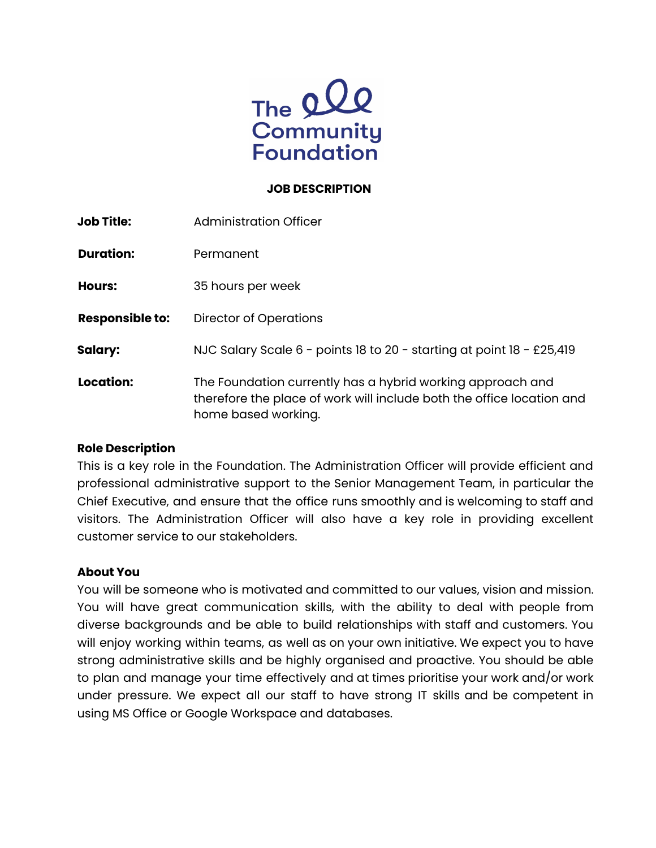

#### **JOB DESCRIPTION**

| <b>Job Title:</b>      | Administration Officer                                                                                                                                     |
|------------------------|------------------------------------------------------------------------------------------------------------------------------------------------------------|
| <b>Duration:</b>       | Permanent                                                                                                                                                  |
| Hours:                 | 35 hours per week                                                                                                                                          |
| <b>Responsible to:</b> | Director of Operations                                                                                                                                     |
| <b>Salary:</b>         | NJC Salary Scale 6 - points 18 to 20 - starting at point 18 - £25,419                                                                                      |
| Location:              | The Foundation currently has a hybrid working approach and<br>therefore the place of work will include both the office location and<br>home based working. |

## **Role Description**

This is a key role in the Foundation. The Administration Officer will provide efficient and professional administrative support to the Senior Management Team, in particular the Chief Executive, and ensure that the office runs smoothly and is welcoming to staff and visitors. The Administration Officer will also have a key role in providing excellent customer service to our stakeholders.

## **About You**

You will be someone who is motivated and committed to our values, vision and mission. You will have great communication skills, with the ability to deal with people from diverse backgrounds and be able to build relationships with staff and customers. You will enjoy working within teams, as well as on your own initiative. We expect you to have strong administrative skills and be highly organised and proactive. You should be able to plan and manage your time effectively and at times prioritise your work and/or work under pressure. We expect all our staff to have strong IT skills and be competent in using MS Office or Google Workspace and databases.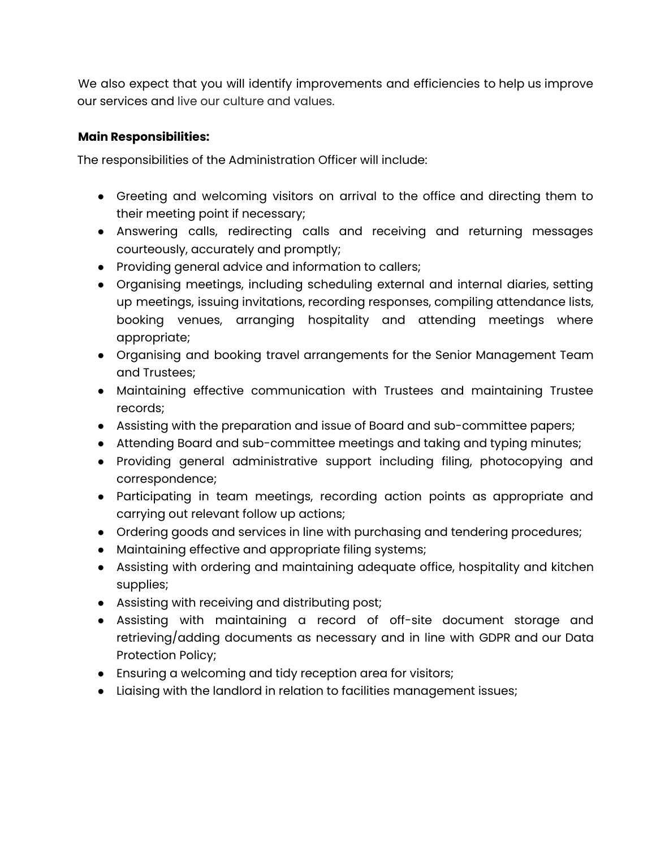We also expect that you will identify improvements and efficiencies to help us improve our services and live our culture and values.

## **Main Responsibilities:**

The responsibilities of the Administration Officer will include:

- Greeting and welcoming visitors on arrival to the office and directing them to their meeting point if necessary;
- Answering calls, redirecting calls and receiving and returning messages courteously, accurately and promptly;
- Providing general advice and information to callers;
- Organising meetings, including scheduling external and internal diaries, setting up meetings, issuing invitations, recording responses, compiling attendance lists, booking venues, arranging hospitality and attending meetings where appropriate;
- Organising and booking travel arrangements for the Senior Management Team and Trustees;
- Maintaining effective communication with Trustees and maintaining Trustee records;
- Assisting with the preparation and issue of Board and sub-committee papers;
- Attending Board and sub-committee meetings and taking and typing minutes;
- Providing general administrative support including filing, photocopying and correspondence;
- Participating in team meetings, recording action points as appropriate and carrying out relevant follow up actions;
- Ordering goods and services in line with purchasing and tendering procedures;
- Maintaining effective and appropriate filing systems;
- Assisting with ordering and maintaining adequate office, hospitality and kitchen supplies;
- Assisting with receiving and distributing post;
- Assisting with maintaining a record of off-site document storage and retrieving/adding documents as necessary and in line with GDPR and our Data Protection Policy;
- Ensuring a welcoming and tidy reception area for visitors;
- Liaising with the landlord in relation to facilities management issues;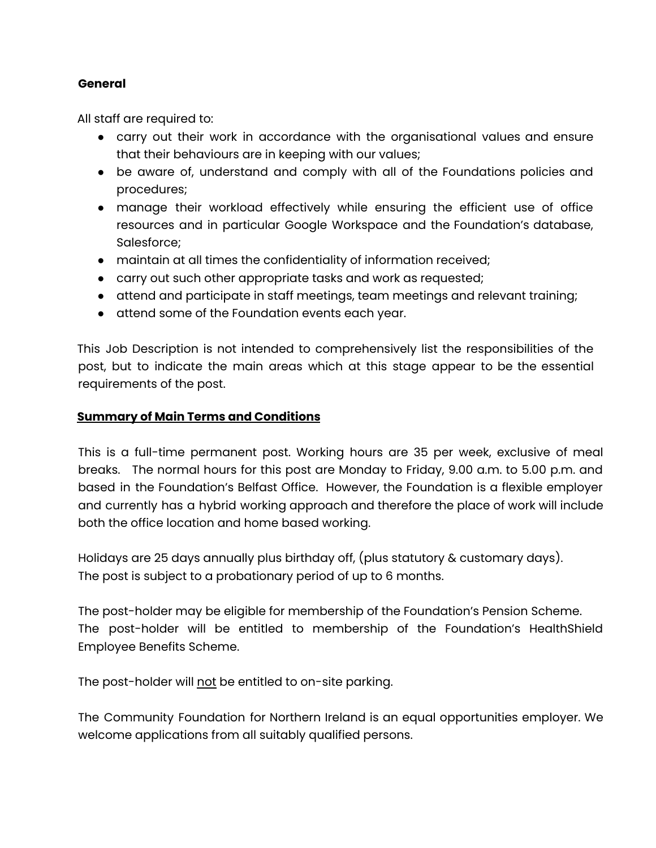## **General**

All staff are required to:

- carry out their work in accordance with the organisational values and ensure that their behaviours are in keeping with our values;
- be aware of, understand and comply with all of the Foundations policies and procedures;
- manage their workload effectively while ensuring the efficient use of office resources and in particular Google Workspace and the Foundation's database, Salesforce;
- maintain at all times the confidentiality of information received;
- carry out such other appropriate tasks and work as requested;
- attend and participate in staff meetings, team meetings and relevant training;
- attend some of the Foundation events each year.

This Job Description is not intended to comprehensively list the responsibilities of the post, but to indicate the main areas which at this stage appear to be the essential requirements of the post.

## **Summary of Main Terms and Conditions**

This is a full-time permanent post. Working hours are 35 per week, exclusive of meal breaks. The normal hours for this post are Monday to Friday, 9.00 a.m. to 5.00 p.m. and based in the Foundation's Belfast Office. However, the Foundation is a flexible employer and currently has a hybrid working approach and therefore the place of work will include both the office location and home based working.

Holidays are 25 days annually plus birthday off, (plus statutory & customary days). The post is subject to a probationary period of up to 6 months.

The post-holder may be eligible for membership of the Foundation's Pension Scheme. The post-holder will be entitled to membership of the Foundation's HealthShield Employee Benefits Scheme.

The post-holder will not be entitled to on-site parking.

The Community Foundation for Northern Ireland is an equal opportunities employer. We welcome applications from all suitably qualified persons.